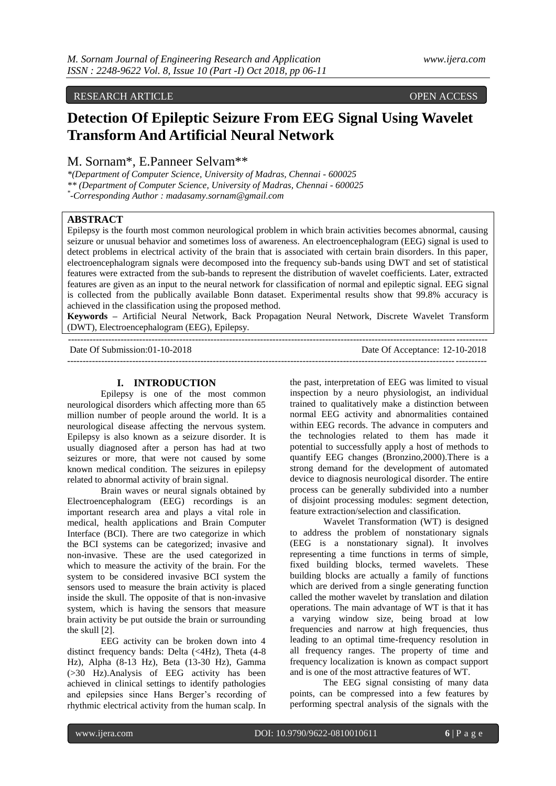## RESEARCH ARTICLE OPEN ACCESS

# **Detection Of Epileptic Seizure From EEG Signal Using Wavelet Transform And Artificial Neural Network**

M. Sornam\*, E.Panneer Selvam\*\*

*\*(Department of Computer Science, University of Madras, Chennai - 600025 \*\* (Department of Computer Science, University of Madras, Chennai - 600025 \* -Corresponding Author : madasamy.sornam@gmail.com*

## **ABSTRACT**

Epilepsy is the fourth most common neurological problem in which brain activities becomes abnormal, causing seizure or unusual behavior and sometimes loss of awareness. An electroencephalogram (EEG) signal is used to detect problems in electrical activity of the brain that is associated with certain brain disorders. In this paper, electroencephalogram signals were decomposed into the frequency sub-bands using DWT and set of statistical features were extracted from the sub-bands to represent the distribution of wavelet coefficients. Later, extracted features are given as an input to the neural network for classification of normal and epileptic signal. EEG signal is collected from the publically available Bonn dataset. Experimental results show that 99.8% accuracy is achieved in the classification using the proposed method.

**Keywords –** Artificial Neural Network, Back Propagation Neural Network, Discrete Wavelet Transform (DWT), Electroencephalogram (EEG), Epilepsy.

---------------------------------------------------------------------------------------------------------------------------------------

---------------------------------------------------------------------------------------------------------------------------------------

Date Of Submission:01-10-2018 Date Of Acceptance: 12-10-2018

## **I. INTRODUCTION**

Epilepsy is one of the most common neurological disorders which affecting more than 65 million number of people around the world. It is a neurological disease affecting the nervous system. Epilepsy is also known as a seizure disorder. It is usually diagnosed after a person has had at two seizures or more, that were not caused by some known medical condition. The seizures in epilepsy related to abnormal activity of brain signal.

Brain waves or neural signals obtained by Electroencephalogram (EEG) recordings is an important research area and plays a vital role in medical, health applications and Brain Computer Interface (BCI). There are two categorize in which the BCI systems can be categorized; invasive and non-invasive. These are the used categorized in which to measure the activity of the brain. For the system to be considered invasive BCI system the sensors used to measure the brain activity is placed inside the skull. The opposite of that is non-invasive system, which is having the sensors that measure brain activity be put outside the brain or surrounding the skull [2].

EEG activity can be broken down into 4 distinct frequency bands: Delta (<4Hz), Theta (4-8 Hz), Alpha (8-13 Hz), Beta (13-30 Hz), Gamma (>30 Hz).Analysis of EEG activity has been achieved in clinical settings to identify pathologies and epilepsies since Hans Berger's recording of rhythmic electrical activity from the human scalp. In

the past, interpretation of EEG was limited to visual inspection by a neuro physiologist, an individual trained to qualitatively make a distinction between normal EEG activity and abnormalities contained within EEG records. The advance in computers and the technologies related to them has made it potential to successfully apply a host of methods to quantify EEG changes (Bronzino,2000).There is a strong demand for the development of automated device to diagnosis neurological disorder. The entire process can be generally subdivided into a number of disjoint processing modules: segment detection, feature extraction/selection and classification.

Wavelet Transformation (WT) is designed to address the problem of nonstationary signals (EEG is a nonstationary signal). It involves representing a time functions in terms of simple, fixed building blocks, termed wavelets. These building blocks are actually a family of functions which are derived from a single generating function called the mother wavelet by translation and dilation operations. The main advantage of WT is that it has a varying window size, being broad at low frequencies and narrow at high frequencies, thus leading to an optimal time-frequency resolution in all frequency ranges. The property of time and frequency localization is known as compact support and is one of the most attractive features of WT.

The EEG signal consisting of many data points, can be compressed into a few features by performing spectral analysis of the signals with the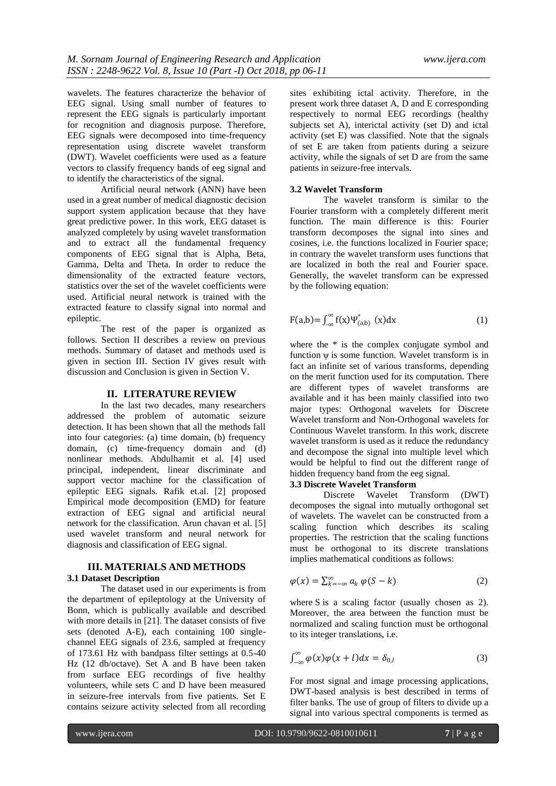wavelets. The features characterize the behavior of EEG signal. Using small number of features to represent the EEG signals is particularly important for recognition and diagnosis purpose. Therefore, EEG signals were decomposed into time-frequency representation using discrete wavelet transform (DWT). Wavelet coefficients were used as a feature vectors to classify frequency bands of eeg signal and to identify the characteristics of the signal.

Artificial neural network (ANN) have been used in a great number of medical diagnostic decision support system application because that they have great predictive power. In this work, EEG dataset is analyzed completely by using wavelet transformation and to extract all the fundamental frequency components of EEG signal that is Alpha, Beta, Gamma, Delta and Theta. In order to reduce the dimensionality of the extracted feature vectors, statistics over the set of the wavelet coefficients were used. Artificial neural network is trained with the extracted feature to classify signal into normal and epileptic.

The rest of the paper is organized as follows. Section II describes a review on previous methods. Summary of dataset and methods used is given in section III. Section IV gives result with discussion and Conclusion is given in Section V.

#### **II. LITERATURE REVIEW**

In the last two decades, many researchers addressed the problem of automatic seizure detection. It has been shown that all the methods fall into four categories: (a) time domain, (b) frequency domain, (c) time-frequency domain and (d) nonlinear methods. Abdulhamit et al. [4] used principal, independent, linear discriminate and support vector machine for the classification of epileptic EEG signals. Rafik et.al. [2] proposed Empirical mode decomposition (EMD) for feature extraction of EEG signal and artificial neural network for the classification. Arun chavan et al. [5] used wavelet transform and neural network for diagnosis and classification of EEG signal.

## **III. MATERIALS AND METHODS 3.1 Dataset Description**

The dataset used in our experiments is from the department of epileptology at the University of Bonn, which is publically available and described with more details in [21]. The dataset consists of five sets (denoted A-E), each containing 100 singlechannel EEG signals of 23.6, sampled at frequency of 173.61 Hz with bandpass filter settings at 0.5-40 Hz (12 db/octave). Set A and B have been taken from surface EEG recordings of five healthy volunteers, while sets C and D have been measured in seizure-free intervals from five patients. Set E contains seizure activity selected from all recording

sites exhibiting ictal activity. Therefore, in the present work three dataset A, D and E corresponding respectively to normal EEG recordings (healthy subjects set A), interictal activity (set D) and ictal activity (set E) was classified. Note that the signals of set E are taken from patients during a seizure activity, while the signals of set D are from the same patients in seizure-free intervals.

#### **3.2 Wavelet Transform**

The wavelet transform is similar to the Fourier transform with a completely different merit function. The main difference is this: Fourier transform decomposes the signal into sines and cosines, i.e. the functions localized in Fourier space; in contrary the wavelet transform uses functions that are localized in both the real and Fourier space. Generally, the wavelet transform can be expressed by the following equation:

$$
F(a,b) = \int_{-\infty}^{\infty} f(x) \Psi_{(a,b)}^{*}(x) dx
$$
 (1)

where the  $*$  is the complex conjugate symbol and function  $\psi$  is some function. Wavelet transform is in fact an infinite set of various transforms, depending on the merit function used for its computation. There are different types of wavelet transforms are available and it has been mainly classified into two major types: Orthogonal wavelets for Discrete Wavelet transform and Non-Orthogonal wavelets for Continuous Wavelet transform. In this work, discrete wavelet transform is used as it reduce the redundancy and decompose the signal into multiple level which would be helpful to find out the different range of hidden frequency band from the eeg signal.

#### **3.3 Discrete Wavelet Transform**

Discrete Wavelet Transform (DWT) decomposes the signal into mutually orthogonal set of wavelets. The wavelet can be constructed from a scaling function which describes its scaling properties. The restriction that the scaling functions must be orthogonal to its discrete translations implies mathematical conditions as follows:

$$
\varphi(x) = \sum_{k=-\infty}^{\infty} a_k \varphi(S - k)
$$
 (2)

where S is a scaling factor (usually chosen as 2). Moreover, the area between the function must be normalized and scaling function must be orthogonal to its integer translations, i.e.

$$
\int_{-\infty}^{\infty} \varphi(x)\varphi(x+l)dx = \delta_{0,l} \tag{3}
$$

For most signal and image processing applications, DWT-based analysis is best described in terms of filter banks. The use of group of filters to divide up a signal into various spectral components is termed as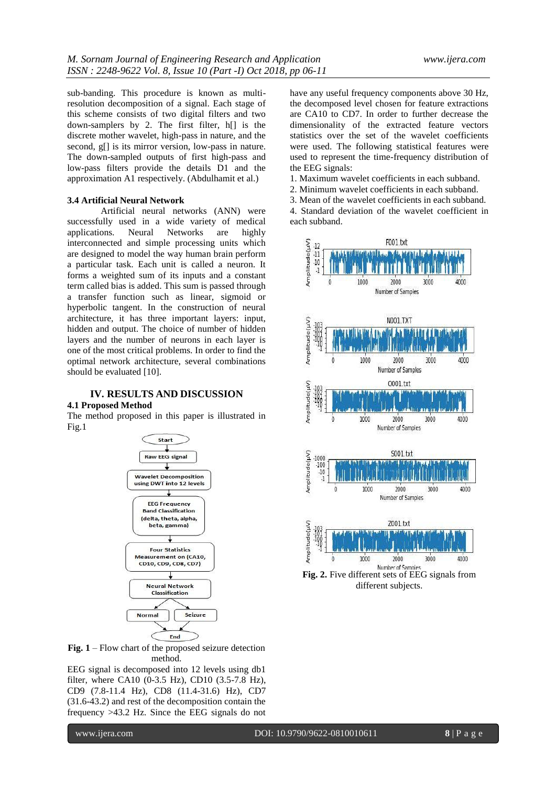sub-banding. This procedure is known as multiresolution decomposition of a signal. Each stage of this scheme consists of two digital filters and two down-samplers by 2. The first filter, h[] is the discrete mother wavelet, high-pass in nature, and the second, g[] is its mirror version, low-pass in nature. The down-sampled outputs of first high-pass and low-pass filters provide the details D1 and the approximation A1 respectively. (Abdulhamit et al.)

#### **3.4 Artificial Neural Network**

Artificial neural networks (ANN) were successfully used in a wide variety of medical applications. Neural Networks are highly interconnected and simple processing units which are designed to model the way human brain perform a particular task. Each unit is called a neuron. It forms a weighted sum of its inputs and a constant term called bias is added. This sum is passed through a transfer function such as linear, sigmoid or hyperbolic tangent. In the construction of neural architecture, it has three important layers: input, hidden and output. The choice of number of hidden layers and the number of neurons in each layer is one of the most critical problems. In order to find the optimal network architecture, several combinations should be evaluated [10].

## **IV. RESULTS AND DISCUSSION**

#### **4.1 Proposed Method**

The method proposed in this paper is illustrated in Fig.1



**Fig. 1** – Flow chart of the proposed seizure detection method.

EEG signal is decomposed into 12 levels using db1 filter, where CA10 (0-3.5 Hz), CD10 (3.5-7.8 Hz), CD9 (7.8-11.4 Hz), CD8 (11.4-31.6) Hz), CD7 (31.6-43.2) and rest of the decomposition contain the frequency >43.2 Hz. Since the EEG signals do not have any useful frequency components above 30 Hz, the decomposed level chosen for feature extractions are CA10 to CD7. In order to further decrease the dimensionality of the extracted feature vectors statistics over the set of the wavelet coefficients were used. The following statistical features were used to represent the time-frequency distribution of the EEG signals:

- 1. Maximum wavelet coefficients in each subband.
- 2. Minimum wavelet coefficients in each subband.
- 3. Mean of the wavelet coefficients in each subband.

4. Standard deviation of the wavelet coefficient in each subband.

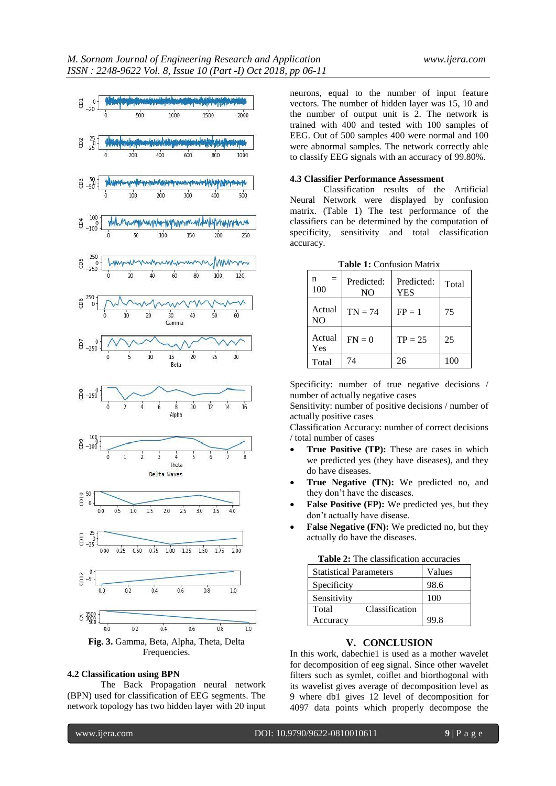

Frequencies.

## **4.2 Classification using BPN**

The Back Propagation neural network (BPN) used for classification of EEG segments. The network topology has two hidden layer with 20 input neurons, equal to the number of input feature vectors. The number of hidden layer was 15, 10 and the number of output unit is 2. The network is trained with 400 and tested with 100 samples of EEG. Out of 500 samples 400 were normal and 100 were abnormal samples. The network correctly able to classify EEG signals with an accuracy of 99.80%.

#### **4.3 Classifier Performance Assessment**

Classification results of the Artificial Neural Network were displayed by confusion matrix. (Table 1) The test performance of the classifiers can be determined by the computation of specificity, sensitivity and total classification accuracy.

| $=$<br>n<br>100          | Predicted:<br>NO. | Predicted:<br><b>YES</b> | Total |
|--------------------------|-------------------|--------------------------|-------|
| Actual<br>N <sub>O</sub> | $TN = 74$         | $FP = 1$                 | 75    |
| Actual<br>Yes            | $FN = 0$          | $TP = 25$                | 25    |
| Total                    | 74                | 26                       | 100   |

**Table 1:** Confusion Matrix

Specificity: number of true negative decisions / number of actually negative cases

Sensitivity: number of positive decisions / number of actually positive cases

Classification Accuracy: number of correct decisions / total number of cases

- **True Positive (TP):** These are cases in which we predicted yes (they have diseases), and they do have diseases.
- **True Negative (TN):** We predicted no, and they don't have the diseases.
- False Positive (FP): We predicted yes, but they don't actually have disease.
- **False Negative (FN):** We predicted no, but they actually do have the diseases.

| <b>Father 2.</b> The classification accuracies |        |  |
|------------------------------------------------|--------|--|
| <b>Statistical Parameters</b>                  | Values |  |
| Specificity                                    | 98.6   |  |
| Sensitivity                                    | 100    |  |
| Classification<br>Total                        |        |  |
| Accuracy                                       | 99.8   |  |

**Table 2:** The classification accuracies

## **V. CONCLUSION**

In this work, dabechie1 is used as a mother wavelet for decomposition of eeg signal. Since other wavelet filters such as symlet, coiflet and biorthogonal with its wavelist gives average of decomposition level as 9 where db1 gives 12 level of decomposition for 4097 data points which properly decompose the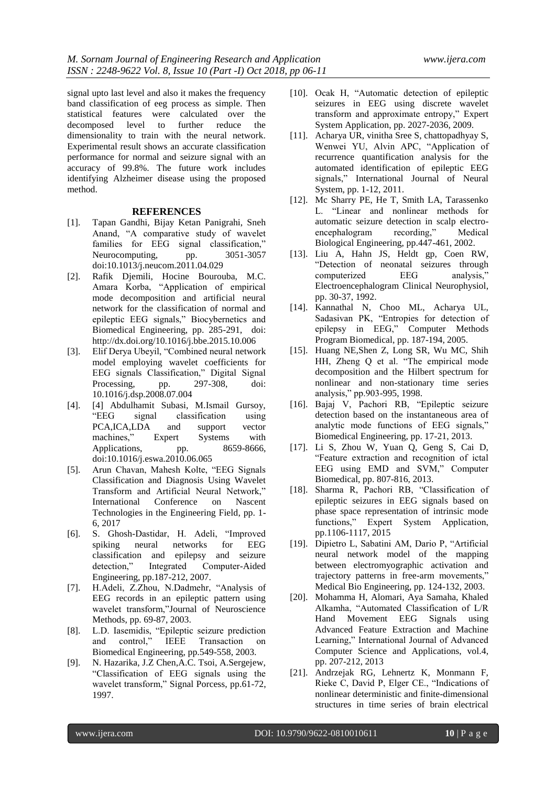signal upto last level and also it makes the frequency band classification of eeg process as simple. Then statistical features were calculated over the decomposed level to further reduce the dimensionality to train with the neural network. Experimental result shows an accurate classification performance for normal and seizure signal with an accuracy of 99.8%. The future work includes identifying Alzheimer disease using the proposed method.

### **REFERENCES**

- [1]. Tapan Gandhi, Bijay Ketan Panigrahi, Sneh Anand, "A comparative study of wavelet families for EEG signal classification," Neurocomputing, pp. 3051-3057 doi:10.1013/j.neucom.2011.04.029
- [2]. Rafik Djemili, Hocine Bourouba, M.C. Amara Korba, "Application of empirical mode decomposition and artificial neural network for the classification of normal and epileptic EEG signals," Biocybernetics and Biomedical Engineering, pp. 285-291, doi: http://dx.doi.org/10.1016/j.bbe.2015.10.006
- [3]. Elif Derya Ubeyil, "Combined neural network model employing wavelet coefficients for EEG signals Classification," Digital Signal Processing, pp. 297-308, doi: 10.1016/j.dsp.2008.07.004
- [4]. [4] Abdulhamit Subasi, M.Ismail Gursoy, "EEG signal classification using PCA,ICA,LDA and support vector machines," Expert Systems with Applications, pp. 8659-8666, doi:10.1016/j.eswa.2010.06.065
- [5]. Arun Chavan, Mahesh Kolte, "EEG Signals Classification and Diagnosis Using Wavelet Transform and Artificial Neural Network," International Conference on Nascent Technologies in the Engineering Field, pp. 1- 6, 2017
- [6]. S. Ghosh-Dastidar, H. Adeli, "Improved spiking neural networks for EEG classification and epilepsy and seizure detection," Integrated Computer-Aided Engineering, pp.187-212, 2007.
- [7]. H.Adeli, Z.Zhou, N.Dadmehr, "Analysis of EEG records in an epileptic pattern using wavelet transform,"Journal of Neuroscience Methods, pp. 69-87, 2003.
- [8]. L.D. Iasemidis, "Epileptic seizure prediction and control," IEEE Transaction on Biomedical Engineering, pp.549-558, 2003.
- [9]. N. Hazarika, J.Z Chen,A.C. Tsoi, A.Sergejew, "Classification of EEG signals using the wavelet transform," Signal Porcess, pp.61-72, 1997.
- [10]. Ocak H, "Automatic detection of epileptic seizures in EEG using discrete wavelet transform and approximate entropy," Expert System Application, pp. 2027-2036, 2009.
- [11]. Acharya UR, vinitha Sree S, chattopadhyay S, Wenwei YU, Alvin APC, "Application of recurrence quantification analysis for the automated identification of epileptic EEG signals," International Journal of Neural System, pp. 1-12, 2011.
- [12]. Mc Sharry PE, He T, Smith LA, Tarassenko L. "Linear and nonlinear methods for automatic seizure detection in scalp electroencephalogram recording," Medical Biological Engineering, pp.447-461, 2002.
- [13]. Liu A, Hahn JS, Heldt gp, Coen RW, "Detection of neonatal seizures through computerized EEG analysis," Electroencephalogram Clinical Neurophysiol, pp. 30-37, 1992.
- [14]. Kannathal N, Choo ML, Acharya UL, Sadasivan PK, "Entropies for detection of epilepsy in EEG," Computer Methods Program Biomedical, pp. 187-194, 2005.
- [15]. Huang NE,Shen Z, Long SR, Wu MC, Shih HH, Zheng Q et al. "The empirical mode decomposition and the Hilbert spectrum for nonlinear and non-stationary time series analysis," pp.903-995, 1998.
- [16]. Bajaj V, Pachori RB, "Epileptic seizure detection based on the instantaneous area of analytic mode functions of EEG signals," Biomedical Engineering, pp. 17-21, 2013.
- [17]. Li S, Zhou W, Yuan Q, Geng S, Cai D, "Feature extraction and recognition of ictal EEG using EMD and SVM," Computer Biomedical, pp. 807-816, 2013.
- [18]. Sharma R, Pachori RB, "Classification of epileptic seizures in EEG signals based on phase space representation of intrinsic mode functions," Expert System Application, pp.1106-1117, 2015
- [19]. Dipietro L, Sabatini AM, Dario P, "Artificial neural network model of the mapping between electromyographic activation and trajectory patterns in free-arm movements," Medical Bio Engineering, pp. 124-132, 2003.
- [20]. Mohamma H, Alomari, Aya Samaha, Khaled Alkamha, "Automated Classification of L/R Hand Movement EEG Signals using Advanced Feature Extraction and Machine Learning," International Journal of Advanced Computer Science and Applications, vol.4, pp. 207-212, 2013
- [21]. Andrzejak RG, Lehnertz K, Monmann F, Rieke C, David P, Elger CE., "Indications of nonlinear deterministic and finite-dimensional structures in time series of brain electrical